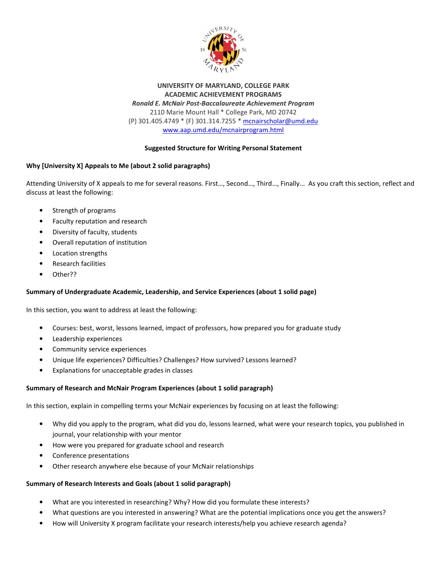

UNIVERSITY OF MARYLAND, COLLEGE PARK ACADEMIC ACHIEVEMENT PROGRAMS Ronald E. McNair Post-Baccalaureate Achievement Program 2110 Marie Mount Hall \* College Park, MD 20742 (P) 301.405.4749 \* (F) 301.314.7255 \* mcnairscholar@umd.edu www.aap.umd.edu/mcnairprogram.html

# Suggested Structure for Writing Personal Statement

# Why [University X] Appeals to Me (about 2 solid paragraphs)

Attending University of X appeals to me for several reasons. First…, Second…, Third…, Finally... As you craft this section, reflect and discuss at least the following:

- Strength of programs
- Faculty reputation and research
- Diversity of faculty, students
- Overall reputation of institution
- Location strengths
- Research facilities
- Other??

## Summary of Undergraduate Academic, Leadership, and Service Experiences (about 1 solid page)

In this section, you want to address at least the following:

- Courses: best, worst, lessons learned, impact of professors, how prepared you for graduate study
- Leadership experiences
- Community service experiences
- Unique life experiences? Difficulties? Challenges? How survived? Lessons learned?
- Explanations for unacceptable grades in classes

## Summary of Research and McNair Program Experiences (about 1 solid paragraph)

In this section, explain in compelling terms your McNair experiences by focusing on at least the following:

- Why did you apply to the program, what did you do, lessons learned, what were your research topics, you published in journal, your relationship with your mentor
- How were you prepared for graduate school and research
- Conference presentations
- Other research anywhere else because of your McNair relationships

## Summary of Research Interests and Goals (about 1 solid paragraph)

- What are you interested in researching? Why? How did you formulate these interests?
- What questions are you interested in answering? What are the potential implications once you get the answers?
- How will University X program facilitate your research interests/help you achieve research agenda?